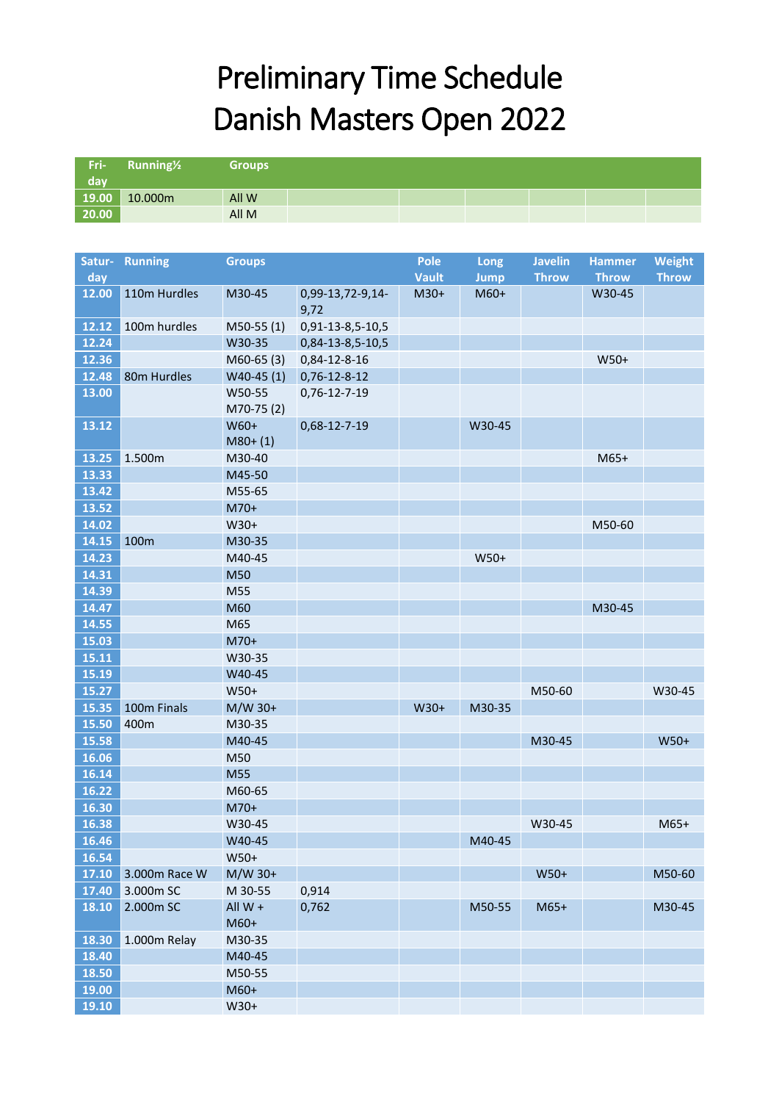## Preliminary Time Schedule Danish Masters Open 2022

| Fri-           | Running <sup>1/2</sup> | <b>Groups</b>       |                  |              |             |                |               |               |
|----------------|------------------------|---------------------|------------------|--------------|-------------|----------------|---------------|---------------|
| day            |                        |                     |                  |              |             |                |               |               |
| 19.00          | 10.000m                | All W               |                  |              |             |                |               |               |
| 20.00          |                        | All M               |                  |              |             |                |               |               |
|                |                        |                     |                  |              |             |                |               |               |
| Satur-         | <b>Running</b>         | <b>Groups</b>       |                  | <b>Pole</b>  | Long        | <b>Javelin</b> | <b>Hammer</b> | <b>Weight</b> |
| day            |                        |                     |                  | <b>Vault</b> | <b>Jump</b> | <b>Throw</b>   | <b>Throw</b>  | <b>Throw</b>  |
| 12.00          | 110m Hurdles           | M30-45              | 0,99-13,72-9,14- | $M30+$       | $M60+$      |                | W30-45        |               |
|                |                        |                     | 9,72             |              |             |                |               |               |
| 12.12          | 100m hurdles           | $M50-55(1)$         | 0,91-13-8,5-10,5 |              |             |                |               |               |
| 12.24          |                        | W30-35              | 0,84-13-8,5-10,5 |              |             |                |               |               |
| 12.36          |                        | $M60-65(3)$         | 0,84-12-8-16     |              |             |                | $W50+$        |               |
| 12.48          | 80m Hurdles            | $W40-45(1)$         | $0,76-12-8-12$   |              |             |                |               |               |
| 13.00          |                        | W50-55<br>M70-75(2) | 0,76-12-7-19     |              |             |                |               |               |
| 13.12          |                        | W60+<br>$M80+ (1)$  | 0,68-12-7-19     |              | W30-45      |                |               |               |
| 13.25          | 1.500m                 | M30-40              |                  |              |             |                | $M65+$        |               |
| 13.33          |                        | M45-50              |                  |              |             |                |               |               |
| 13.42          |                        | M55-65              |                  |              |             |                |               |               |
| 13.52          |                        | M70+                |                  |              |             |                |               |               |
| 14.02          |                        | W30+                |                  |              |             |                | M50-60        |               |
| 14.15          | 100m                   | M30-35              |                  |              |             |                |               |               |
| 14.23          |                        | M40-45              |                  |              | W50+        |                |               |               |
| 14.31          |                        | M50                 |                  |              |             |                |               |               |
| 14.39          |                        | M55                 |                  |              |             |                |               |               |
| 14.47          |                        | M60                 |                  |              |             |                | M30-45        |               |
| 14.55          |                        | M65                 |                  |              |             |                |               |               |
| 15.03          |                        | $M70+$              |                  |              |             |                |               |               |
| 15.11          |                        | W30-35              |                  |              |             |                |               |               |
| 15.19          |                        | W40-45              |                  |              |             |                |               |               |
| 15.27<br>15.35 | 100m Finals            | W50+                |                  |              |             | M50-60         |               | W30-45        |
| 15.50          | 400m                   | $M/W$ 30+<br>M30-35 |                  | $W30+$       | M30-35      |                |               |               |
| 15.58          |                        | M40-45              |                  |              |             | M30-45         |               | $W50+$        |
| 16.06          |                        | M50                 |                  |              |             |                |               |               |
| 16.14          |                        | M55                 |                  |              |             |                |               |               |
| 16.22          |                        | M60-65              |                  |              |             |                |               |               |
| 16.30          |                        | M70+                |                  |              |             |                |               |               |
| 16.38          |                        | W30-45              |                  |              |             | W30-45         |               | $M65+$        |
| 16.46          |                        | W40-45              |                  |              | M40-45      |                |               |               |
| 16.54          |                        | W50+                |                  |              |             |                |               |               |
| 17.10          | 3.000m Race W          | M/W 30+             |                  |              |             | W50+           |               | M50-60        |
| 17.40          | 3.000m SC              | M 30-55             | 0,914            |              |             |                |               |               |
| 18.10          | 2.000m SC              | All $W +$           | 0,762            |              | M50-55      | $M65+$         |               | M30-45        |
|                |                        | M60+                |                  |              |             |                |               |               |
| 18.30          | 1.000m Relay           | M30-35              |                  |              |             |                |               |               |
| 18.40          |                        | M40-45              |                  |              |             |                |               |               |
| 18.50          |                        | M50-55              |                  |              |             |                |               |               |
| 19.00          |                        | M60+                |                  |              |             |                |               |               |
| 19.10          |                        | W30+                |                  |              |             |                |               |               |